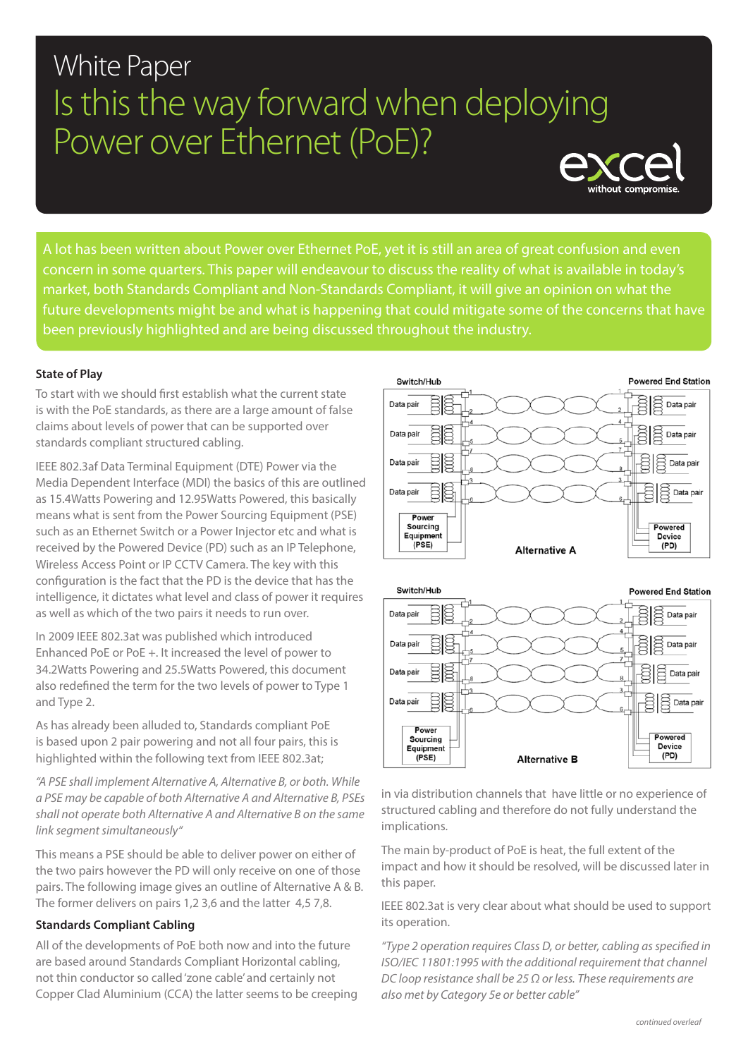# **White Paper** Is this the way forward when deploying Power over Ethernet (PoE)?



A lot has been written about Power over Ethernet PoE, yet it is still an area of great confusion and even concern in some quarters. This paper will endeavour to discuss the reality of what is available in today's market, both Standards Compliant and Non-Standards Compliant, it will give an opinion on what the future developments might be and what is happening that could mitigate some of the concerns that have been previously highlighted and are being discussed throughout the industry.

# **State of Play**

To start with we should first establish what the current state is with the PoE standards, as there are a large amount of false claims about levels of power that can be supported over standards compliant structured cabling.

IEEE 802.3af Data Terminal Equipment (DTE) Power via the Media Dependent Interface (MDI) the basics of this are outlined as 15.4Watts Powering and 12.95Watts Powered, this basically means what is sent from the Power Sourcing Equipment (PSE) such as an Ethernet Switch or a Power Injector etc and what is received by the Powered Device (PD) such as an IP Telephone, Wireless Access Point or IP CCTV Camera. The key with this configuration is the fact that the PD is the device that has the intelligence, it dictates what level and class of power it requires as well as which of the two pairs it needs to run over.

In 2009 IEEE 802.3at was published which introduced Enhanced PoE or PoE +. It increased the level of power to 34.2Watts Powering and 25.5Watts Powered, this document also redefined the term for the two levels of power to Type 1 and Type 2.

As has already been alluded to, Standards compliant PoE is based upon 2 pair powering and not all four pairs, this is highlighted within the following text from IEEE 802.3at;

*"A PSE shall implement Alternative A, Alternative B, or both. While a PSE may be capable of both Alternative A and Alternative B, PSEs shall not operate both Alternative A and Alternative B on the same link segment simultaneously"*

This means a PSE should be able to deliver power on either of the two pairs however the PD will only receive on one of those pairs. The following image gives an outline of Alternative A & B. The former delivers on pairs 1,2 3,6 and the latter 4,5 7,8.

#### **Standards Compliant Cabling**

All of the developments of PoE both now and into the future are based around Standards Compliant Horizontal cabling, not thin conductor so called 'zone cable' and certainly not Copper Clad Aluminium (CCA) the latter seems to be creeping





in via distribution channels that have little or no experience of structured cabling and therefore do not fully understand the implications.

The main by-product of PoE is heat, the full extent of the impact and how it should be resolved, will be discussed later in this paper.

IEEE 802.3at is very clear about what should be used to support its operation.

*"Type 2 operation requires Class D, or better, cabling as specified in ISO/IEC 11801:1995 with the additional requirement that channel DC loop resistance shall be 25 Ω or less. These requirements are also met by Category 5e or better cable"*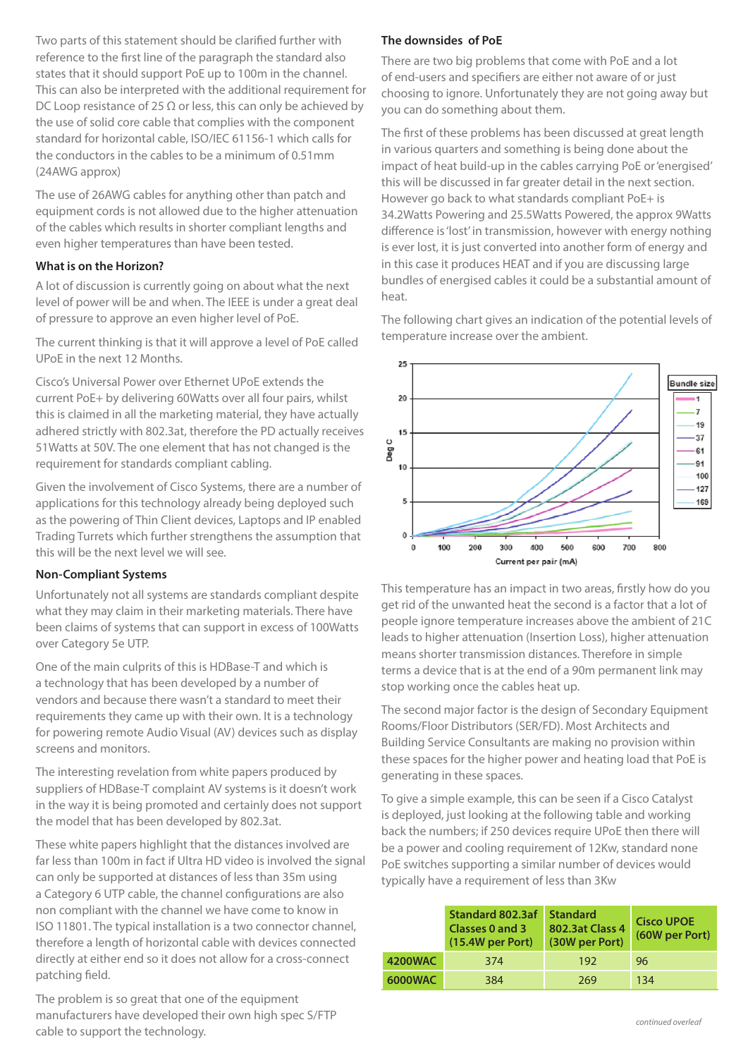Two parts of this statement should be clarified further with reference to the first line of the paragraph the standard also states that it should support PoE up to 100m in the channel. This can also be interpreted with the additional requirement for DC Loop resistance of 25  $\Omega$  or less, this can only be achieved by the use of solid core cable that complies with the component standard for horizontal cable, ISO/IEC 61156-1 which calls for the conductors in the cables to be a minimum of 0.51mm (24AWG approx)

The use of 26AWG cables for anything other than patch and equipment cords is not allowed due to the higher attenuation of the cables which results in shorter compliant lengths and even higher temperatures than have been tested.

#### **What is on the Horizon?**

A lot of discussion is currently going on about what the next level of power will be and when. The IEEE is under a great deal of pressure to approve an even higher level of PoE.

The current thinking is that it will approve a level of PoE called UPoE in the next 12 Months.

Cisco's Universal Power over Ethernet UPoE extends the current PoE+ by delivering 60Watts over all four pairs, whilst this is claimed in all the marketing material, they have actually adhered strictly with 802.3at, therefore the PD actually receives 51Watts at 50V. The one element that has not changed is the requirement for standards compliant cabling.

Given the involvement of Cisco Systems, there are a number of applications for this technology already being deployed such as the powering of Thin Client devices, Laptops and IP enabled Trading Turrets which further strengthens the assumption that this will be the next level we will see.

# **Non-Compliant Systems**

Unfortunately not all systems are standards compliant despite what they may claim in their marketing materials. There have been claims of systems that can support in excess of 100Watts over Category 5e UTP.

One of the main culprits of this is HDBase-T and which is a technology that has been developed by a number of vendors and because there wasn't a standard to meet their requirements they came up with their own. It is a technology for powering remote Audio Visual (AV) devices such as display screens and monitors.

The interesting revelation from white papers produced by suppliers of HDBase-T complaint AV systems is it doesn't work in the way it is being promoted and certainly does not support the model that has been developed by 802.3at.

These white papers highlight that the distances involved are far less than 100m in fact if Ultra HD video is involved the signal can only be supported at distances of less than 35m using a Category 6 UTP cable, the channel configurations are also non compliant with the channel we have come to know in ISO 11801. The typical installation is a two connector channel, therefore a length of horizontal cable with devices connected directly at either end so it does not allow for a cross-connect patching field.

The problem is so great that one of the equipment manufacturers have developed their own high spec S/FTP cable to support the technology.

# **The downsides of PoE**

There are two big problems that come with PoE and a lot of end-users and specifiers are either not aware of or just choosing to ignore. Unfortunately they are not going away but you can do something about them.

The first of these problems has been discussed at great length in various quarters and something is being done about the impact of heat build-up in the cables carrying PoE or 'energised' this will be discussed in far greater detail in the next section. However go back to what standards compliant PoE+ is 34.2Watts Powering and 25.5Watts Powered, the approx 9Watts difference is 'lost' in transmission, however with energy nothing is ever lost, it is just converted into another form of energy and in this case it produces HEAT and if you are discussing large bundles of energised cables it could be a substantial amount of heat.

The following chart gives an indication of the potential levels of temperature increase over the ambient.



This temperature has an impact in two areas, firstly how do you get rid of the unwanted heat the second is a factor that a lot of people ignore temperature increases above the ambient of 21C leads to higher attenuation (Insertion Loss), higher attenuation means shorter transmission distances. Therefore in simple terms a device that is at the end of a 90m permanent link may stop working once the cables heat up.

The second major factor is the design of Secondary Equipment Rooms/Floor Distributors (SER/FD). Most Architects and Building Service Consultants are making no provision within these spaces for the higher power and heating load that PoE is generating in these spaces.

To give a simple example, this can be seen if a Cisco Catalyst is deployed, just looking at the following table and working back the numbers; if 250 devices require UPoE then there will be a power and cooling requirement of 12Kw, standard none PoE switches supporting a similar number of devices would typically have a requirement of less than 3Kw

|                | Standard 802.3af<br><b>Classes 0 and 3</b><br>$(15.4W$ per Port) | <b>Standard</b><br>802.3at Class 4<br>(30W per Port) | <b>Cisco UPOE</b><br>(60W per Port) |
|----------------|------------------------------------------------------------------|------------------------------------------------------|-------------------------------------|
| <b>4200WAC</b> | 374                                                              | 192                                                  | 96                                  |
| <b>6000WAC</b> | 384                                                              | 269                                                  | 134                                 |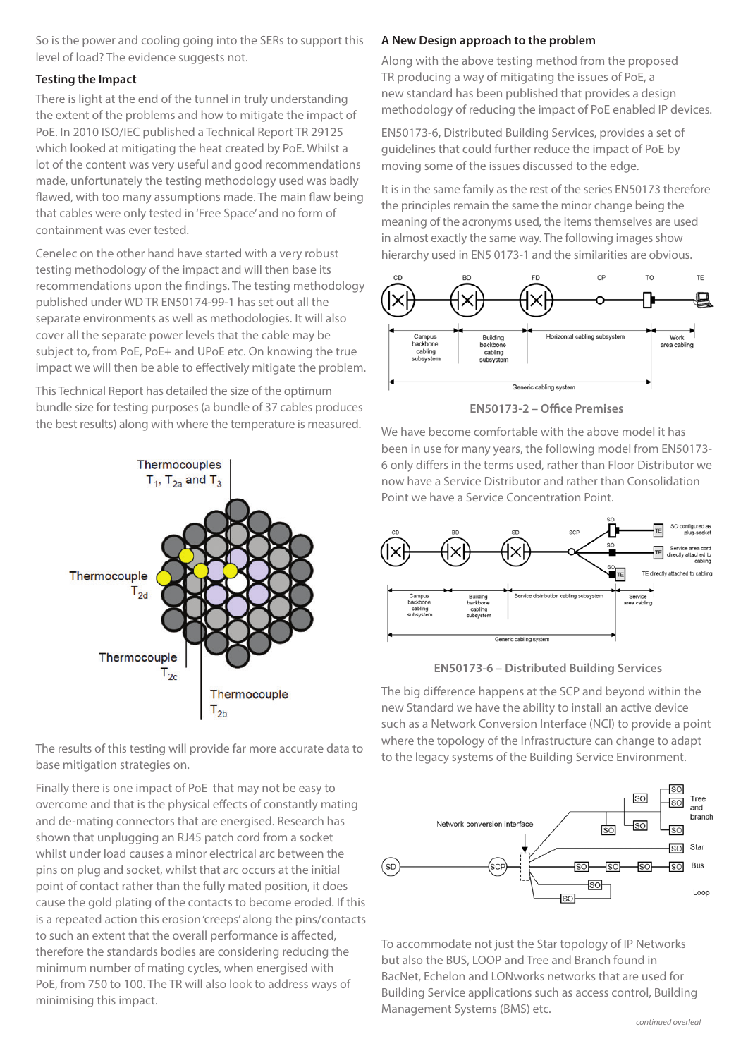So is the power and cooling going into the SERs to support this level of load? The evidence suggests not.

#### **Testing the Impact**

There is light at the end of the tunnel in truly understanding the extent of the problems and how to mitigate the impact of PoE. In 2010 ISO/IEC published a Technical Report TR 29125 which looked at mitigating the heat created by PoE. Whilst a lot of the content was very useful and good recommendations made, unfortunately the testing methodology used was badly flawed, with too many assumptions made. The main flaw being that cables were only tested in 'Free Space' and no form of containment was ever tested.

Cenelec on the other hand have started with a very robust testing methodology of the impact and will then base its recommendations upon the findings. The testing methodology published under WD TR EN50174-99-1 has set out all the separate environments as well as methodologies. It will also cover all the separate power levels that the cable may be subject to, from PoE, PoE+ and UPoE etc. On knowing the true impact we will then be able to effectively mitigate the problem.

This Technical Report has detailed the size of the optimum bundle size for testing purposes (a bundle of 37 cables produces the best results) along with where the temperature is measured.



The results of this testing will provide far more accurate data to base mitigation strategies on.

Finally there is one impact of PoE that may not be easy to overcome and that is the physical effects of constantly mating and de-mating connectors that are energised. Research has shown that unplugging an RJ45 patch cord from a socket whilst under load causes a minor electrical arc between the pins on plug and socket, whilst that arc occurs at the initial point of contact rather than the fully mated position, it does cause the gold plating of the contacts to become eroded. If this is a repeated action this erosion 'creeps' along the pins/contacts to such an extent that the overall performance is affected, therefore the standards bodies are considering reducing the minimum number of mating cycles, when energised with PoE, from 750 to 100. The TR will also look to address ways of minimising this impact.

# **A New Design approach to the problem**

Along with the above testing method from the proposed TR producing a way of mitigating the issues of PoE, a new standard has been published that provides a design methodology of reducing the impact of PoE enabled IP devices.

EN50173-6, Distributed Building Services, provides a set of guidelines that could further reduce the impact of PoE by moving some of the issues discussed to the edge.

It is in the same family as the rest of the series EN50173 therefore the principles remain the same the minor change being the meaning of the acronyms used, the items themselves are used in almost exactly the same way. The following images show hierarchy used in EN5 0173-1 and the similarities are obvious.



**EN50173-2 – Office Premises**

We have become comfortable with the above model it has been in use for many years, the following model from EN50173- 6 only differs in the terms used, rather than Floor Distributor we now have a Service Distributor and rather than Consolidation Point we have a Service Concentration Point.



**EN50173-6 – Distributed Building Services**

The big difference happens at the SCP and beyond within the new Standard we have the ability to install an active device such as a Network Conversion Interface (NCI) to provide a point where the topology of the Infrastructure can change to adapt to the legacy systems of the Building Service Environment.



To accommodate not just the Star topology of IP Networks but also the BUS, LOOP and Tree and Branch found in BacNet, Echelon and LONworks networks that are used for Building Service applications such as access control, Building Management Systems (BMS) etc.